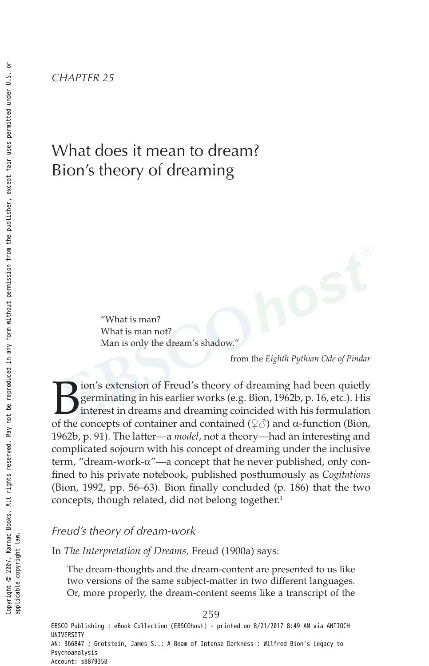#### *CHAPTER 25*

# What does it mean to dream? Bion's theory of dreaming

"What is man? What is man not? Man is only the dream's shadow."

from the *Eighth Pythian Ode of Pindar*

ion's extension of Freud's theory of dreaming had been quietly germinating in his earlier works (e.g. Bion, 1962b, p. 16, etc.). His interest in dreams and dreaming coincided with his formulation of the concepts of container and contained ( $\mathcal{Q}(\mathcal{S})$ ) and α-function (Bion, 1962b, p. 91). The latter—a *model*, not a theory—had an interesting and complicated sojourn with his concept of dreaming under the inclusive term, "dream-work-α"—a concept that he never published, only confined to his private notebook, published posthumously as *Cogitations* (Bion, 1992, pp. 56–63). Bion finally concluded (p. 186) that the two concepts, though related, did not belong together.<sup>1</sup>

## *Freud's theory of dream-work*

In *The Interpretation of Dreams,* Freud (1900a) says:

The dream-thoughts and the dream-content are presented to us like two versions of the same subject-matter in two different languages. Or, more properly, the dream-content seems like a transcript of the

259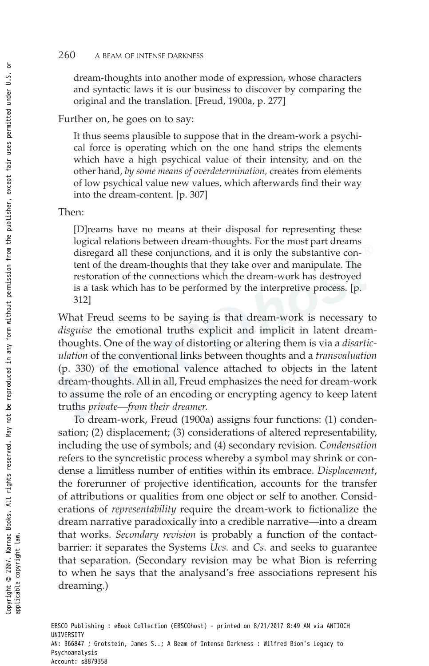#### 260 A BEAM OF INTENSE DARKNESS

dream-thoughts into another mode of expression, whose characters and syntactic laws it is our business to discover by comparing the original and the translation. [Freud, 1900a, p. 277]

#### Further on, he goes on to say:

It thus seems plausible to suppose that in the dream-work a psychical force is operating which on the one hand strips the elements which have a high psychical value of their intensity, and on the other hand, *by some means of overdetermination,* creates from elements of low psychical value new values, which afterwards find their way into the dream-content. [p. 307]

#### Then:

[D]reams have no means at their disposal for representing these logical relations between dream-thoughts. For the most part dreams disregard all these conjunctions, and it is only the substantive content of the dream-thoughts that they take over and manipulate. The restoration of the connections which the dream-work has destroyed is a task which has to be performed by the interpretive process. [p. 312]

What Freud seems to be saying is that dream-work is necessary to *disguise* the emotional truths explicit and implicit in latent dreamthoughts. One of the way of distorting or altering them is via a *disarticulation* of the conventional links between thoughts and a *transvaluation*  (p. 330) of the emotional valence attached to objects in the latent dream-thoughts. All in all, Freud emphasizes the need for dream-work to assume the role of an encoding or encrypting agency to keep latent truths *private—from their dreamer.*

To dream-work, Freud (1900a) assigns four functions: (1) condensation; (2) displacement; (3) considerations of altered representability, including the use of symbols; and (4) secondary revision. *Condensation* refers to the syncretistic process whereby a symbol may shrink or condense a limitless number of entities within its embrace. *Displacement*, the forerunner of projective identification, accounts for the transfer of attributions or qualities from one object or self to another. Considerations of *representability* require the dream-work to fictionalize the dream narrative paradoxically into a credible narrative—into a dream that works. *Secondary revision* is probably a function of the contactbarrier: it separates the Systems *Ucs.* and *Cs.* and seeks to guarantee that separation. (Secondary revision may be what Bion is referring to when he says that the analysand's free associations represent his dreaming.)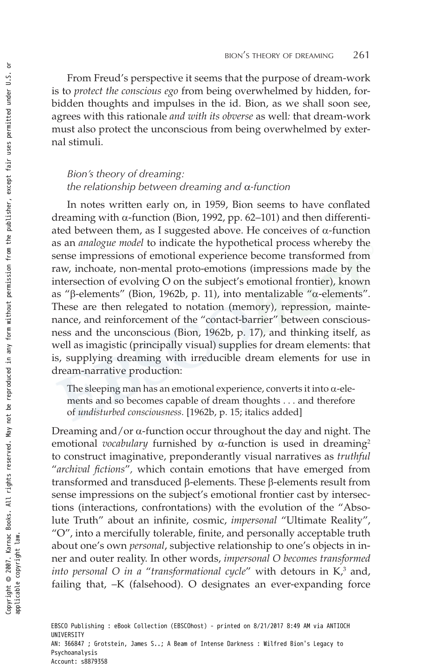From Freud's perspective it seems that the purpose of dream-work is to *protect the conscious ego* from being overwhelmed by hidden, forbidden thoughts and impulses in the id. Bion, as we shall soon see, agrees with this rationale *and with its obverse* as well*:* that dream-work must also protect the unconscious from being overwhelmed by external stimuli.

## *Bion's theory of dreaming: the relationship between dreaming and* α*-function*

In notes written early on, in 1959, Bion seems to have conflated dreaming with α-function (Bion, 1992, pp. 62–101) and then differentiated between them, as I suggested above. He conceives of  $\alpha$ -function as an *analogue model* to indicate the hypothetical process whereby the sense impressions of emotional experience become transformed from raw, inchoate, non-mental proto-emotions (impressions made by the intersection of evolving O on the subject's emotional frontier), known as "β-elements" (Bion, 1962b, p. 11), into mentalizable "α-elements". These are then relegated to notation (memory), repression, maintenance, and reinforcement of the "contact-barrier" between consciousness and the unconscious (Bion, 1962b, p. 17), and thinking itself, as well as imagistic (principally visual) supplies for dream elements: that is, supplying dreaming with irreducible dream elements for use in dream-narrative production:

The sleeping man has an emotional experience, converts it into  $\alpha$ -elements and so becomes capable of dream thoughts . . . and therefore of *undisturbed consciousness*. [1962b, p. 15; italics added]

Dreaming and/or  $α$ -function occur throughout the day and night. The emotional *vocabulary* furnished by α-function is used in dreaming2 to construct imaginative, preponderantly visual narratives as *truthful*  "*archival fictions*"*,* which contain emotions that have emerged from transformed and transduced β-elements. These β-elements result from sense impressions on the subject's emotional frontier cast by intersections (interactions, confrontations) with the evolution of the "Absolute Truth" about an infinite, cosmic, *impersonal* "Ultimate Reality", "O", into a mercifully tolerable, finite, and personally acceptable truth about one's own *personal*, subjective relationship to one's objects in inner and outer reality. In other words, *impersonal O becomes transformed*  into personal O in a "transformational cycle" with detours in K,<sup>3</sup> and, failing that, –K (falsehood). O designates an ever-expanding force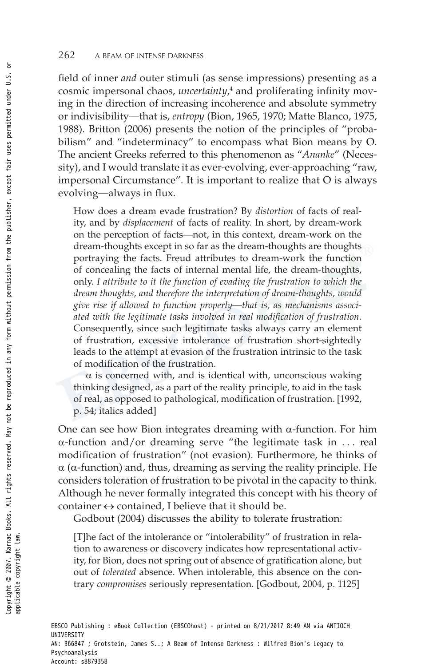#### 262 A BEAM OF INTENSE DARKNESS

field of inner *and* outer stimuli (as sense impressions) presenting as a cosmic impersonal chaos, *uncertainty*, 4 and proliferating infinity moving in the direction of increasing incoherence and absolute symmetry or indivisibility—that is, *entropy* (Bion, 1965, 1970; Matte Blanco, 1975, 1988). Britton (2006) presents the notion of the principles of "probabilism" and "indeterminacy" to encompass what Bion means by O. The ancient Greeks referred to this phenomenon as "*Ananke*" (Necessity), and I would translate it as ever-evolving, ever-approaching "raw, impersonal Circumstance". It is important to realize that O is always evolving—always in flux.

How does a dream evade frustration? By *distortion* of facts of reality, and by *displacement* of facts of reality. In short, by dream-work on the perception of facts—not, in this context, dream-work on the dream-thoughts except in so far as the dream-thoughts are thoughts portraying the facts. Freud attributes to dream-work the function of concealing the facts of internal mental life, the dream-thoughts, only. *I attribute to it the function of evading the frustration to which the dream thoughts, and therefore the interpretation of dream-thoughts, would give rise if allowed to function properly—that is, as mechanisms associated with the legitimate tasks involved in real modification of frustration.* Consequently, since such legitimate tasks always carry an element of frustration, excessive intolerance of frustration short-sightedly leads to the attempt at evasion of the frustration intrinsic to the task of modification of the frustration.

 $\alpha$  is concerned with, and is identical with, unconscious waking thinking designed, as a part of the reality principle, to aid in the task of real, as opposed to pathological, modification of frustration. [1992, p. 54; italics added]

One can see how Bion integrates dreaming with α-function. For him α-function and/or dreaming serve "the legitimate task in . . . real modification of frustration" (not evasion). Furthermore, he thinks of  $\alpha$  ( $\alpha$ -function) and, thus, dreaming as serving the reality principle. He considers toleration of frustration to be pivotal in the capacity to think. Although he never formally integrated this concept with his theory of container  $\leftrightarrow$  contained, I believe that it should be.

Godbout (2004) discusses the ability to tolerate frustration:

[T]he fact of the intolerance or "intolerability" of frustration in relation to awareness or discovery indicates how representational activity, for Bion, does not spring out of absence of gratification alone, but out of *tolerated* absence. When intolerable, this absence on the contrary *compromises* seriously representation. [Godbout, 2004, p. 1125]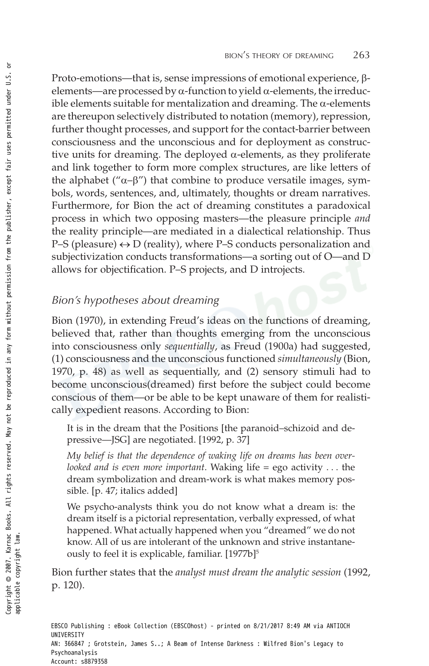Proto-emotions—that is, sense impressions of emotional experience, βelements—are processed by  $\alpha$ -function to yield  $\alpha$ -elements, the irreducible elements suitable for mentalization and dreaming. The  $\alpha$ -elements are thereupon selectively distributed to notation (memory), repression, further thought processes, and support for the contact-barrier between consciousness and the unconscious and for deployment as constructive units for dreaming. The deployed  $\alpha$ -elements, as they proliferate and link together to form more complex structures, are like letters of the alphabet (" $α$ -β") that combine to produce versatile images, symbols, words, sentences, and, ultimately, thoughts or dream narratives. Furthermore, for Bion the act of dreaming constitutes a paradoxical process in which two opposing masters—the pleasure principle *and* the reality principle—are mediated in a dialectical relationship. Thus P–S (pleasure)  $\leftrightarrow$  D (reality), where P–S conducts personalization and subjectivization conducts transformations—a sorting out of O—and D allows for objectification. P–S projects, and D introjects.

# *Bion's hypotheses about dreaming*

Bion (1970), in extending Freud's ideas on the functions of dreaming, believed that, rather than thoughts emerging from the unconscious into consciousness only *sequentially*, as Freud (1900a) had suggested, (1) consciousness and the unconscious functioned *simultaneously* (Bion, 1970, p. 48) as well as sequentially, and (2) sensory stimuli had to become unconscious(dreamed) first before the subject could become conscious of them—or be able to be kept unaware of them for realistically expedient reasons. According to Bion:

It is in the dream that the Positions [the paranoid–schizoid and depressive—JSG] are negotiated. [1992, p. 37]

*My belief is that the dependence of waking life on dreams has been overlooked and is even more important*. Waking life = ego activity . . . the dream symbolization and dream-work is what makes memory possible. [p. 47; italics added]

We psycho-analysts think you do not know what a dream is: the dream itself is a pictorial representation, verbally expressed, of what happened. What actually happened when you "dreamed" we do not know. All of us are intolerant of the unknown and strive instantaneously to feel it is explicable, familiar. [1977b]<sup>5</sup>

Bion further states that the *analyst must dream the analytic session* (1992, p. 120).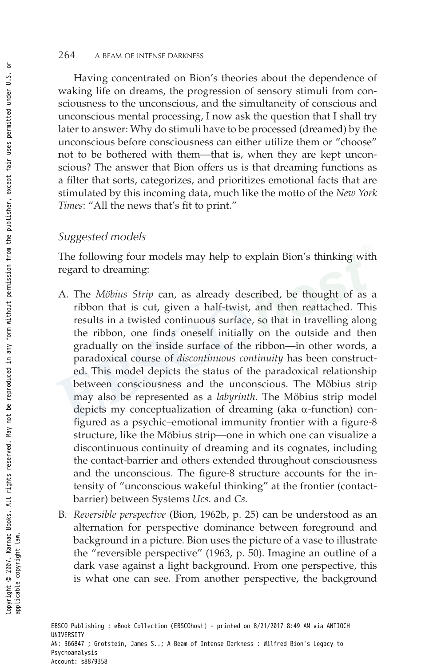#### 264 A BEAM OF INTENSE DARKNESS

Having concentrated on Bion's theories about the dependence of waking life on dreams, the progression of sensory stimuli from consciousness to the unconscious, and the simultaneity of conscious and unconscious mental processing, I now ask the question that I shall try later to answer: Why do stimuli have to be processed (dreamed) by the unconscious before consciousness can either utilize them or "choose" not to be bothered with them—that is, when they are kept unconscious? The answer that Bion offers us is that dreaming functions as a filter that sorts, categorizes, and prioritizes emotional facts that are stimulated by this incoming data, much like the motto of the *New York Times*: "All the news that's fit to print."

## *Suggested models*

The following four models may help to explain Bion's thinking with regard to dreaming:

- A. The *Möbius Strip* can, as already described, be thought of as a ribbon that is cut, given a half-twist, and then reattached. This results in a twisted continuous surface, so that in travelling along the ribbon, one finds oneself initially on the outside and then gradually on the inside surface of the ribbon—in other words, a paradoxical course of *discontinuous continuity* has been constructed. This model depicts the status of the paradoxical relationship between consciousness and the unconscious. The Möbius strip may also be represented as a *labyrinth*. The Möbius strip model depicts my conceptualization of dreaming (aka α-function) configured as a psychic–emotional immunity frontier with a figure-8 structure, like the Möbius strip—one in which one can visualize a discontinuous continuity of dreaming and its cognates, including the contact-barrier and others extended throughout consciousness and the unconscious. The figure-8 structure accounts for the intensity of "unconscious wakeful thinking" at the frontier (contactbarrier) between Systems *Ucs.* and *Cs.*
- B. *Reversible perspective* (Bion, 1962b, p. 25) can be understood as an alternation for perspective dominance between foreground and background in a picture. Bion uses the picture of a vase to illustrate the "reversible perspective" (1963, p. 50). Imagine an outline of a dark vase against a light background. From one perspective, this is what one can see. From another perspective, the background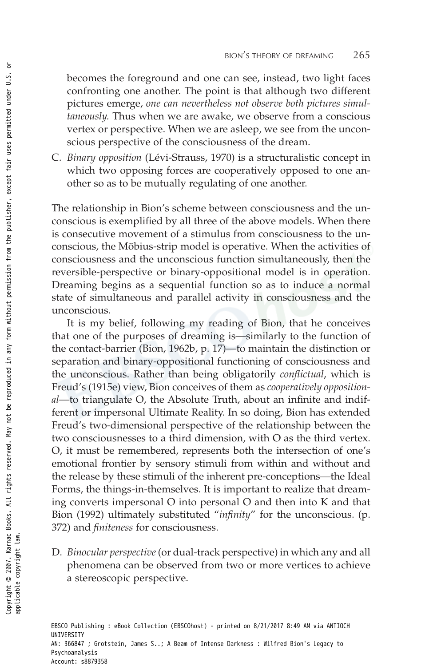becomes the foreground and one can see, instead, two light faces confronting one another. The point is that although two different pictures emerge, *one can nevertheless not observe both pictures simultaneously.* Thus when we are awake, we observe from a conscious vertex or perspective. When we are asleep, we see from the unconscious perspective of the consciousness of the dream.

C. *Binary opposition* (Lévi-Strauss, 1970) is a structuralistic concept in which two opposing forces are cooperatively opposed to one another so as to be mutually regulating of one another.

The relationship in Bion's scheme between consciousness and the unconscious is exemplified by all three of the above models. When there is consecutive movement of a stimulus from consciousness to the unconscious, the Möbius-strip model is operative. When the activities of consciousness and the unconscious function simultaneously, then the reversible-perspective or binary-oppositional model is in operation. Dreaming begins as a sequential function so as to induce a normal state of simultaneous and parallel activity in consciousness and the unconscious.

It is my belief, following my reading of Bion, that he conceives that one of the purposes of dreaming is—similarly to the function of the contact-barrier (Bion, 1962b, p. 17)—to maintain the distinction or separation and binary-oppositional functioning of consciousness and the unconscious. Rather than being obligatorily *conflictual*, which is Freud's (1915e) view, Bion conceives of them as *cooperatively oppositional—*to triangulate O, the Absolute Truth, about an infinite and indifferent or impersonal Ultimate Reality. In so doing, Bion has extended Freud's two-dimensional perspective of the relationship between the two consciousnesses to a third dimension, with O as the third vertex. O, it must be remembered, represents both the intersection of one's emotional frontier by sensory stimuli from within and without and the release by these stimuli of the inherent pre-conceptions—the Ideal Forms, the things-in-themselves. It is important to realize that dreaming converts impersonal O into personal O and then into K and that Bion (1992) ultimately substituted "*infinity*" for the unconscious. (p. 372) and *finiteness* for consciousness.

D. *Binocular perspective* (or dual-track perspective) in which any and all phenomena can be observed from two or more vertices to achieve a stereoscopic perspective.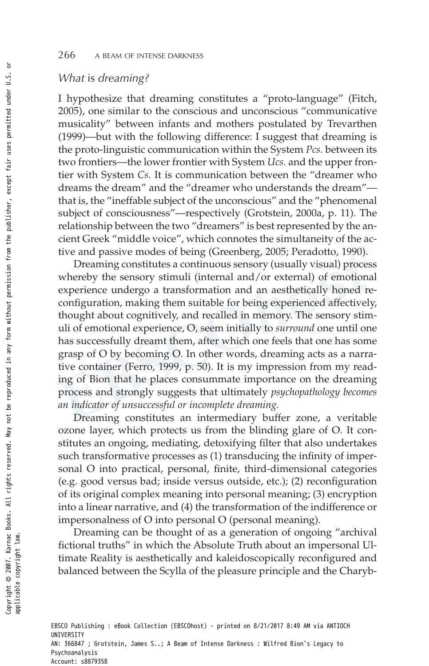### *What* is *dreaming?*

I hypothesize that dreaming constitutes a "proto-language" (Fitch, 2005), one similar to the conscious and unconscious "communicative musicality" between infants and mothers postulated by Trevarthen (1999)—but with the following difference: I suggest that dreaming is the proto-linguistic communication within the System *Pcs.* between its two frontiers—the lower frontier with System *Ucs.* and the upper frontier with System *Cs.* It is communication between the "dreamer who dreams the dream" and the "dreamer who understands the dream" that is, the "ineffable subject of the unconscious" and the "phenomenal subject of consciousness"—respectively (Grotstein, 2000a, p. 11). The relationship between the two "dreamers" is best represented by the ancient Greek "middle voice", which connotes the simultaneity of the active and passive modes of being (Greenberg, 2005; Peradotto, 1990).

Dreaming constitutes a continuous sensory (usually visual) process whereby the sensory stimuli (internal and/or external) of emotional experience undergo a transformation and an aesthetically honed reconfiguration, making them suitable for being experienced affectively, thought about cognitively, and recalled in memory. The sensory stimuli of emotional experience, O, seem initially to *surround* one until one has successfully dreamt them, after which one feels that one has some grasp of O by becoming O. In other words, dreaming acts as a narrative container (Ferro, 1999, p. 50). It is my impression from my reading of Bion that he places consummate importance on the dreaming process and strongly suggests that ultimately *psychopathology becomes an indicator of unsuccessful or incomplete dreaming.*

Dreaming constitutes an intermediary buffer zone, a veritable ozone layer, which protects us from the blinding glare of O. It constitutes an ongoing, mediating, detoxifying filter that also undertakes such transformative processes as (1) transducing the infinity of impersonal O into practical, personal, finite, third-dimensional categories (e.g. good versus bad; inside versus outside, etc.); (2) reconfiguration of its original complex meaning into personal meaning; (3) encryption into a linear narrative, and (4) the transformation of the indifference or impersonalness of O into personal O (personal meaning).

Dreaming can be thought of as a generation of ongoing "archival fictional truths" in which the Absolute Truth about an impersonal Ultimate Reality is aesthetically and kaleidoscopically reconfigured and balanced between the Scylla of the pleasure principle and the Charyb-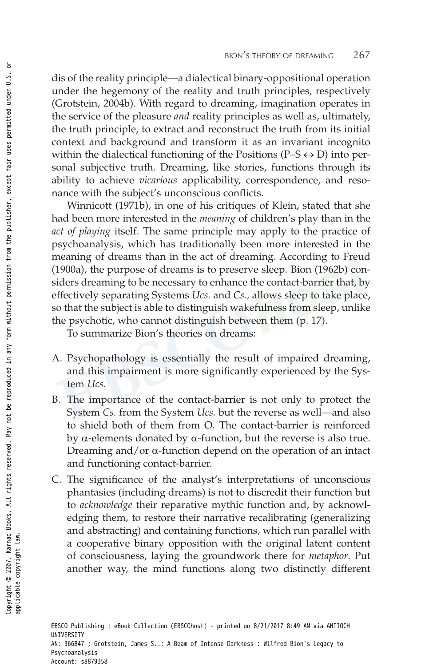dis of the reality principle—a dialectical binary-oppositional operation under the hegemony of the reality and truth principles, respectively (Grotstein, 2004b). With regard to dreaming, imagination operates in the service of the pleasure *and* reality principles as well as, ultimately, the truth principle, to extract and reconstruct the truth from its initial context and background and transform it as an invariant incognito within the dialectical functioning of the Positions ( $P-S \leftrightarrow D$ ) into personal subjective truth. Dreaming, like stories, functions through its ability to achieve *vicarious* applicability, correspondence, and resonance with the subject's unconscious conflicts.

Winnicott (1971b), in one of his critiques of Klein, stated that she had been more interested in the *meaning* of children's play than in the *act of playing* itself. The same principle may apply to the practice of psychoanalysis, which has traditionally been more interested in the meaning of dreams than in the act of dreaming. According to Freud (1900a), the purpose of dreams is to preserve sleep. Bion (1962b) considers dreaming to be necessary to enhance the contact-barrier that, by effectively separating Systems *Ucs.* and *Cs.,* allows sleep to take place, so that the subject is able to distinguish wakefulness from sleep, unlike the psychotic, who cannot distinguish between them (p. 17).

To summarize Bion's theories on dreams:

- A. Psychopathology is essentially the result of impaired dreaming, and this impairment is more significantly experienced by the System *Ucs.*
- B. The importance of the contact-barrier is not only to protect the System *Cs.* from the System *Ucs.* but the reverse as well—and also to shield both of them from O. The contact-barrier is reinforced by α-elements donated by α-function, but the reverse is also true. Dreaming and/or  $\alpha$ -function depend on the operation of an intact and functioning contact-barrier.
- C. The significance of the analyst's interpretations of unconscious phantasies (including dreams) is not to discredit their function but to *acknowledge* their reparative mythic function and, by acknowledging them, to restore their narrative recalibrating (generalizing and abstracting) and containing functions, which run parallel with a cooperative binary opposition with the original latent content of consciousness, laying the groundwork there for *metaphor*. Put another way, the mind functions along two distinctly different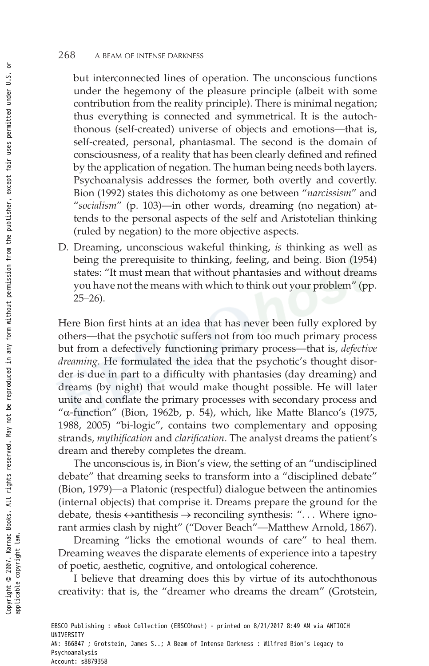but interconnected lines of operation. The unconscious functions under the hegemony of the pleasure principle (albeit with some contribution from the reality principle). There is minimal negation; thus everything is connected and symmetrical. It is the autochthonous (self-created) universe of objects and emotions—that is, self-created, personal, phantasmal. The second is the domain of consciousness, of a reality that has been clearly defined and refined by the application of negation. The human being needs both layers. Psychoanalysis addresses the former, both overtly and covertly. Bion (1992) states this dichotomy as one between "*narcissism*" and "*socialism*" (p. 103)—in other words, dreaming (no negation) attends to the personal aspects of the self and Aristotelian thinking (ruled by negation) to the more objective aspects.

D. Dreaming, unconscious wakeful thinking, *is* thinking as well as being the prerequisite to thinking, feeling, and being. Bion (1954) states: "It must mean that without phantasies and without dreams you have not the means with which to think out your problem" (pp. 25–26).

Here Bion first hints at an idea that has never been fully explored by others—that the psychotic suffers not from too much primary process but from a defectively functioning primary process—that is, *defective dreaming.* He formulated the idea that the psychotic's thought disorder is due in part to a difficulty with phantasies (day dreaming) and dreams (by night) that would make thought possible. He will later unite and conflate the primary processes with secondary process and "α-function" (Bion, 1962b, p. 54), which, like Matte Blanco's (1975, 1988, 2005) "bi-logic", contains two complementary and opposing strands, *mythification* and *clarification*. The analyst dreams the patient's dream and thereby completes the dream.

The unconscious is, in Bion's view, the setting of an "undisciplined debate" that dreaming seeks to transform into a "disciplined debate" (Bion, 1979)—a Platonic (respectful) dialogue between the antinomies (internal objects) that comprise it. Dreams prepare the ground for the debate, thesis  $\leftrightarrow$ antithesis  $\rightarrow$  reconciling synthesis: "... Where ignorant armies clash by night" ("Dover Beach"—Matthew Arnold, 1867).

Dreaming "licks the emotional wounds of care" to heal them. Dreaming weaves the disparate elements of experience into a tapestry of poetic, aesthetic, cognitive, and ontological coherence.

I believe that dreaming does this by virtue of its autochthonous creativity: that is, the "dreamer who dreams the dream" (Grotstein,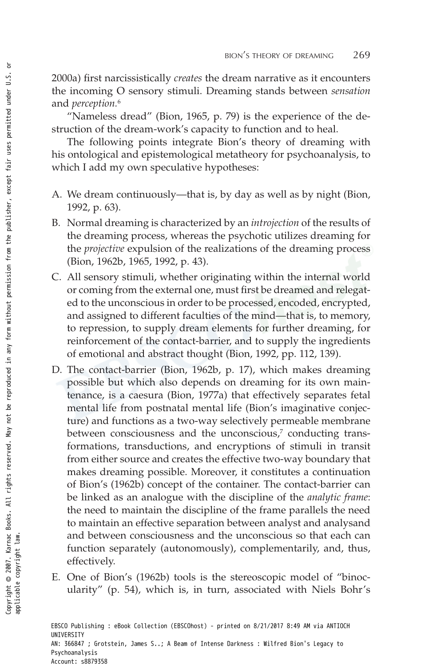2000a) first narcissistically *creates* the dream narrative as it encounters the incoming O sensory stimuli. Dreaming stands between *sensation* and *perception.*<sup>6</sup>

"Nameless dread" (Bion, 1965, p. 79) is the experience of the destruction of the dream-work's capacity to function and to heal.

The following points integrate Bion's theory of dreaming with his ontological and epistemological metatheory for psychoanalysis, to which I add my own speculative hypotheses:

- A. We dream continuously—that is, by day as well as by night (Bion, 1992, p. 63).
- B. Normal dreaming is characterized by an *introjection* of the results of the dreaming process, whereas the psychotic utilizes dreaming for the *projective* expulsion of the realizations of the dreaming process (Bion, 1962b, 1965, 1992, p. 43).
- C. All sensory stimuli, whether originating within the internal world or coming from the external one, must first be dreamed and relegated to the unconscious in order to be processed, encoded, encrypted, and assigned to different faculties of the mind—that is, to memory, to repression, to supply dream elements for further dreaming, for reinforcement of the contact-barrier, and to supply the ingredients of emotional and abstract thought (Bion, 1992, pp. 112, 139).
- D. The contact-barrier (Bion, 1962b, p. 17), which makes dreaming possible but which also depends on dreaming for its own maintenance, is a caesura (Bion, 1977a) that effectively separates fetal mental life from postnatal mental life (Bion's imaginative conjecture) and functions as a two-way selectively permeable membrane between consciousness and the unconscious,<sup>7</sup> conducting transformations, transductions, and encryptions of stimuli in transit from either source and creates the effective two-way boundary that makes dreaming possible. Moreover, it constitutes a continuation of Bion's (1962b) concept of the container. The contact-barrier can be linked as an analogue with the discipline of the *analytic frame*: the need to maintain the discipline of the frame parallels the need to maintain an effective separation between analyst and analysand and between consciousness and the unconscious so that each can function separately (autonomously), complementarily, and, thus, effectively.
- E. One of Bion's (1962b) tools is the stereoscopic model of "binocularity" (p. 54), which is, in turn, associated with Niels Bohr's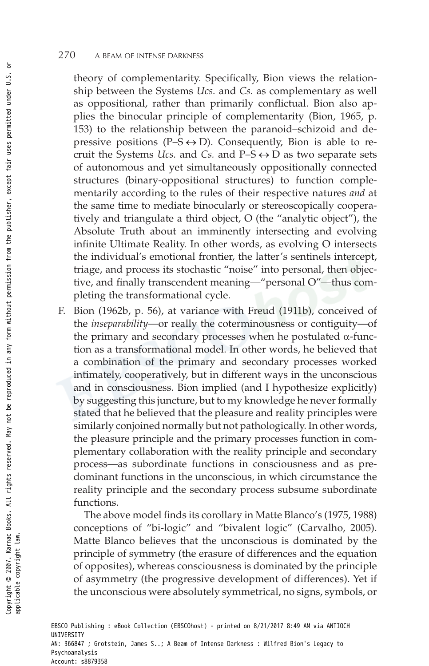theory of complementarity. Specifically, Bion views the relationship between the Systems *Ucs.* and *Cs.* as complementary as well as oppositional, rather than primarily conflictual. Bion also applies the binocular principle of complementarity (Bion, 1965, p. 153) to the relationship between the paranoid–schizoid and depressive positions ( $P-S \leftrightarrow D$ ). Consequently, Bion is able to recruit the Systems *Ucs.* and *Cs.* and  $P-S \leftrightarrow D$  as two separate sets of autonomous and yet simultaneously oppositionally connected structures (binary-oppositional structures) to function complementarily according to the rules of their respective natures *and* at the same time to mediate binocularly or stereoscopically cooperatively and triangulate a third object, O (the "analytic object"), the Absolute Truth about an imminently intersecting and evolving infinite Ultimate Reality. In other words, as evolving O intersects the individual's emotional frontier, the latter's sentinels intercept, triage, and process its stochastic "noise" into personal, then objective, and finally transcendent meaning—"personal O"—thus completing the transformational cycle.

F. Bion (1962b, p. 56), at variance with Freud (1911b), conceived of the *inseparability—*or really the coterminousness or contiguity—of the primary and secondary processes when he postulated  $α$ -function as a transformational model. In other words, he believed that a combination of the primary and secondary processes worked intimately, cooperatively, but in different ways in the unconscious and in consciousness. Bion implied (and I hypothesize explicitly) by suggesting this juncture, but to my knowledge he never formally stated that he believed that the pleasure and reality principles were similarly conjoined normally but not pathologically. In other words, the pleasure principle and the primary processes function in complementary collaboration with the reality principle and secondary process—as subordinate functions in consciousness and as predominant functions in the unconscious, in which circumstance the reality principle and the secondary process subsume subordinate functions.

 The above model finds its corollary in Matte Blanco's (1975, 1988) conceptions of "bi-logic" and "bivalent logic" (Carvalho, 2005). Matte Blanco believes that the unconscious is dominated by the principle of symmetry (the erasure of differences and the equation of opposites), whereas consciousness is dominated by the principle of asymmetry (the progressive development of differences). Yet if the unconscious were absolutely symmetrical, no signs, symbols, or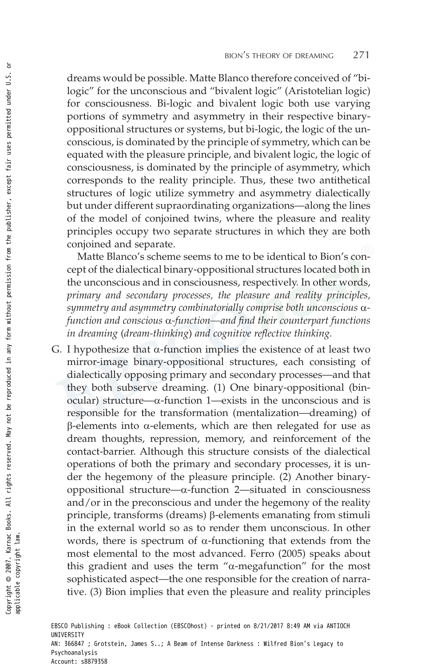dreams would be possible. Matte Blanco therefore conceived of "bilogic" for the unconscious and "bivalent logic" (Aristotelian logic) for consciousness. Bi-logic and bivalent logic both use varying portions of symmetry and asymmetry in their respective binaryoppositional structures or systems, but bi-logic, the logic of the unconscious, is dominated by the principle of symmetry, which can be equated with the pleasure principle, and bivalent logic, the logic of consciousness, is dominated by the principle of asymmetry, which corresponds to the reality principle. Thus, these two antithetical structures of logic utilize symmetry and asymmetry dialectically but under different supraordinating organizations—along the lines of the model of conjoined twins, where the pleasure and reality principles occupy two separate structures in which they are both conjoined and separate.

 Matte Blanco's scheme seems to me to be identical to Bion's concept of the dialectical binary-oppositional structures located both in the unconscious and in consciousness, respectively. In other words, *primary and secondary processes, the pleasure and reality principles, symmetry and asymmetry combinatorially comprise both unconscious* α*function and conscious* α*-function—and find their counterpart functions in dreaming* (*dream-thinking*) *and cognitive reflective thinking.*

G. I hypothesize that  $\alpha$ -function implies the existence of at least two mirror-image binary-oppositional structures, each consisting of dialectically opposing primary and secondary processes—and that they both subserve dreaming. (1) One binary-oppositional (binocular) structure— $\alpha$ -function 1—exists in the unconscious and is responsible for the transformation (mentalization—dreaming) of β-elements into α-elements, which are then relegated for use as dream thoughts, repression, memory, and reinforcement of the contact-barrier. Although this structure consists of the dialectical operations of both the primary and secondary processes, it is under the hegemony of the pleasure principle. (2) Another binaryoppositional structure—α-function 2—situated in consciousness and/or in the preconscious and under the hegemony of the reality principle, transforms (dreams) β-elements emanating from stimuli in the external world so as to render them unconscious. In other words, there is spectrum of  $\alpha$ -functioning that extends from the most elemental to the most advanced. Ferro (2005) speaks about this gradient and uses the term " $α$ -megafunction" for the most sophisticated aspect—the one responsible for the creation of narrative. (3) Bion implies that even the pleasure and reality principles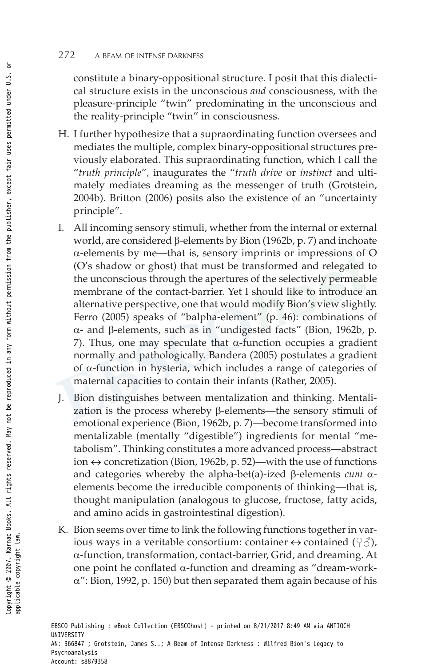#### 272 A BEAM OF INTENSE DARKNESS

constitute a binary-oppositional structure. I posit that this dialectical structure exists in the unconscious *and* consciousness, with the pleasure-principle "twin" predominating in the unconscious and the reality-principle "twin" in consciousness.

- H. I further hypothesize that a supraordinating function oversees and mediates the multiple, complex binary-oppositional structures previously elaborated. This supraordinating function, which I call the "*truth principle*"*,* inaugurates the "*truth drive* or *instinct* and ultimately mediates dreaming as the messenger of truth (Grotstein, 2004b). Britton (2006) posits also the existence of an "uncertainty principle".
- I. All incoming sensory stimuli, whether from the internal or external world, are considered β-elements by Bion (1962b, p. 7) and inchoate α-elements by me—that is, sensory imprints or impressions of O (O's shadow or ghost) that must be transformed and relegated to the unconscious through the apertures of the selectively permeable membrane of the contact-barrier. Yet I should like to introduce an alternative perspective, one that would modify Bion's view slightly. Ferro (2005) speaks of "balpha-element" (p. 46): combinations of α- and β-elements, such as in "undigested facts" (Bion, 1962b, p. 7). Thus, one may speculate that  $α$ -function occupies a gradient normally and pathologically. Bandera (2005) postulates a gradient of α-function in hysteria, which includes a range of categories of maternal capacities to contain their infants (Rather, 2005).
- J. Bion distinguishes between mentalization and thinking. Mentalization is the process whereby β-elements—the sensory stimuli of emotional experience (Bion, 1962b, p. 7)—become transformed into mentalizable (mentally "digestible") ingredients for mental "metabolism". Thinking constitutes a more advanced process—abstract ion ↔ concretization (Bion, 1962b, p. 52)—with the use of functions and categories whereby the alpha-bet(a)-ized β-elements *cum* αelements become the irreducible components of thinking—that is, thought manipulation (analogous to glucose, fructose, fatty acids, and amino acids in gastrointestinal digestion).
- K. Bion seems over time to link the following functions together in various ways in a veritable consortium: container  $\leftrightarrow$  contained ( $\varphi \partial$ ), α-function, transformation, contact-barrier, Grid, and dreaming. At one point he conflated α-function and dreaming as "dream-work- $\alpha$ ": Bion, 1992, p. 150) but then separated them again because of his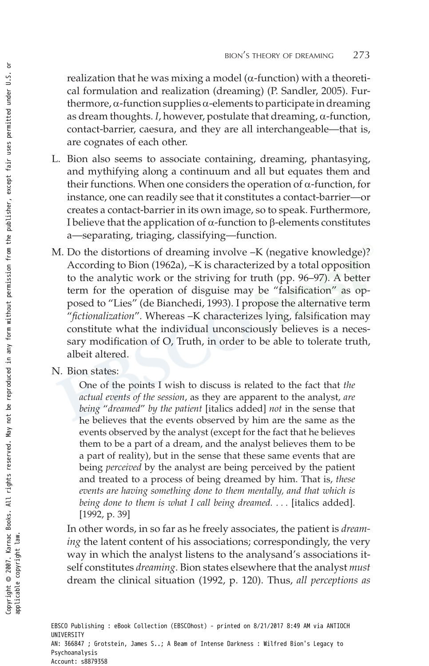realization that he was mixing a model ( $\alpha$ -function) with a theoretical formulation and realization (dreaming) (P. Sandler, 2005). Furthermore,  $\alpha$ -function supplies  $\alpha$ -elements to participate in dreaming as dream thoughts. *I*, however, postulate that dreaming, α-function, contact-barrier, caesura, and they are all interchangeable—that is, are cognates of each other.

- L. Bion also seems to associate containing, dreaming, phantasying, and mythifying along a continuum and all but equates them and their functions. When one considers the operation of α-function, for instance, one can readily see that it constitutes a contact-barrier—or creates a contact-barrier in its own image, so to speak. Furthermore, I believe that the application of α-function to β-elements constitutes a—separating, triaging, classifying—function.
- M. Do the distortions of dreaming involve –K (negative knowledge)? According to Bion (1962a), –K is characterized by a total opposition to the analytic work or the striving for truth (pp. 96–97). A better term for the operation of disguise may be "falsification" as opposed to "Lies" (de Bianchedi, 1993). I propose the alternative term "*fictionalization*"*.* Whereas –K characterizes lying, falsification may constitute what the individual unconsciously believes is a necessary modification of O, Truth, in order to be able to tolerate truth, albeit altered.

## N. Bion states:

One of the points I wish to discuss is related to the fact that *the actual events of the session*, as they are apparent to the analyst, *are being* "*dreamed*" *by the patient* [italics added] *not* in the sense that he believes that the events observed by him are the same as the events observed by the analyst (except for the fact that he believes them to be a part of a dream, and the analyst believes them to be a part of reality), but in the sense that these same events that are being *perceived* by the analyst are being perceived by the patient and treated to a process of being dreamed by him. That is, *these events are having something done to them mentally, and that which is being done to them is what I call being dreamed....* [italics added]. [1992, p. 39]

 In other words, in so far as he freely associates, the patient is *dreaming* the latent content of his associations; correspondingly, the very way in which the analyst listens to the analysand's associations itself constitutes *dreaming*. Bion states elsewhere that the analyst *must* dream the clinical situation (1992, p. 120). Thus, *all perceptions as*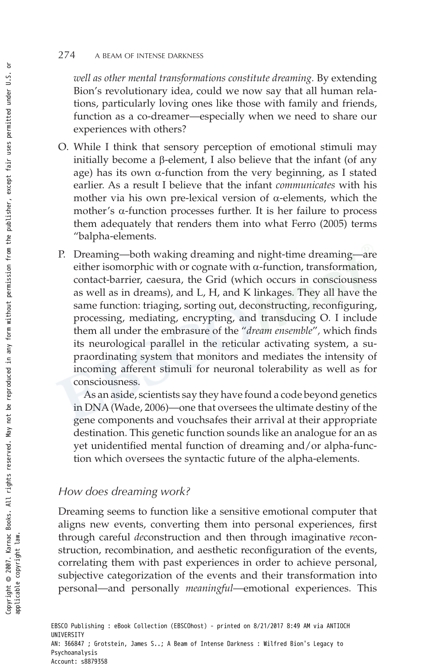#### 274 A BEAM OF INTENSE DARKNESS

*well as other mental transformations constitute dreaming.* By extending Bion's revolutionary idea, could we now say that all human relations, particularly loving ones like those with family and friends, function as a co-dreamer—especially when we need to share our experiences with others?

- O. While I think that sensory perception of emotional stimuli may initially become a β-element, I also believe that the infant (of any age) has its own  $\alpha$ -function from the very beginning, as I stated earlier. As a result I believe that the infant *communicates* with his mother via his own pre-lexical version of α-elements, which the mother's  $\alpha$ -function processes further. It is her failure to process them adequately that renders them into what Ferro (2005) terms "balpha-elements.
- P. Dreaming—both waking dreaming and night-time dreaming—are either isomorphic with or cognate with α-function, transformation, contact-barrier, caesura, the Grid (which occurs in consciousness as well as in dreams), and L, H, and K linkages. They all have the same function: triaging, sorting out, deconstructing, reconfiguring, processing, mediating, encrypting, and transducing O. I include them all under the embrasure of the "*dream ensemble*"*,* which finds its neurological parallel in the reticular activating system, a supraordinating system that monitors and mediates the intensity of incoming afferent stimuli for neuronal tolerability as well as for consciousness.

 As an aside, scientists say they have found a code beyond genetics in DNA (Wade, 2006)—one that oversees the ultimate destiny of the gene components and vouchsafes their arrival at their appropriate destination. This genetic function sounds like an analogue for an as yet unidentified mental function of dreaming and/or alpha-function which oversees the syntactic future of the alpha-elements.

#### *How does dreaming work?*

Dreaming seems to function like a sensitive emotional computer that aligns new events, converting them into personal experiences, first through careful *de*construction and then through imaginative *re*construction, recombination, and aesthetic reconfiguration of the events, correlating them with past experiences in order to achieve personal, subjective categorization of the events and their transformation into personal—and personally *meaningful*—emotional experiences. This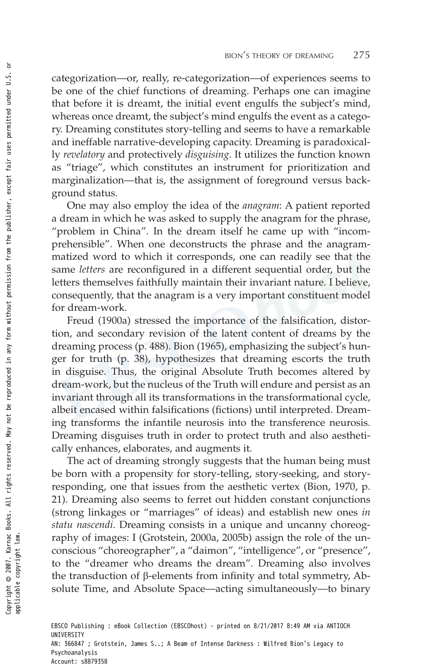categorization—or, really, re-categorization—of experiences seems to be one of the chief functions of dreaming. Perhaps one can imagine that before it is dreamt, the initial event engulfs the subject's mind, whereas once dreamt, the subject's mind engulfs the event as a category. Dreaming constitutes story-telling and seems to have a remarkable and ineffable narrative-developing capacity. Dreaming is paradoxically *revelatory* and protectively *disguising*. It utilizes the function known as "triage", which constitutes an instrument for prioritization and marginalization—that is, the assignment of foreground versus background status.

One may also employ the idea of the *anagram*: A patient reported a dream in which he was asked to supply the anagram for the phrase, "problem in China". In the dream itself he came up with "incomprehensible". When one deconstructs the phrase and the anagrammatized word to which it corresponds, one can readily see that the same *letters* are reconfigured in a different sequential order, but the letters themselves faithfully maintain their invariant nature. I believe, consequently, that the anagram is a very important constituent model for dream-work.

Freud (1900a) stressed the importance of the falsification, distortion, and secondary revision of the latent content of dreams by the dreaming process (p. 488). Bion (1965), emphasizing the subject's hunger for truth (p. 38), hypothesizes that dreaming escorts the truth in disguise. Thus, the original Absolute Truth becomes altered by dream-work, but the nucleus of the Truth will endure and persist as an invariant through all its transformations in the transformational cycle, albeit encased within falsifications (fictions) until interpreted. Dreaming transforms the infantile neurosis into the transference neurosis. Dreaming disguises truth in order to protect truth and also aesthetically enhances, elaborates, and augments it.

The act of dreaming strongly suggests that the human being must be born with a propensity for story-telling, story-seeking, and storyresponding, one that issues from the aesthetic vertex (Bion, 1970, p. 21). Dreaming also seems to ferret out hidden constant conjunctions (strong linkages or "marriages" of ideas) and establish new ones *in statu nascendi*. Dreaming consists in a unique and uncanny choreography of images: I (Grotstein, 2000a, 2005b) assign the role of the unconscious "choreographer", a "daimon", "intelligence", or "presence", to the "dreamer who dreams the dream". Dreaming also involves the transduction of β-elements from infinity and total symmetry, Absolute Time, and Absolute Space—acting simultaneously—to binary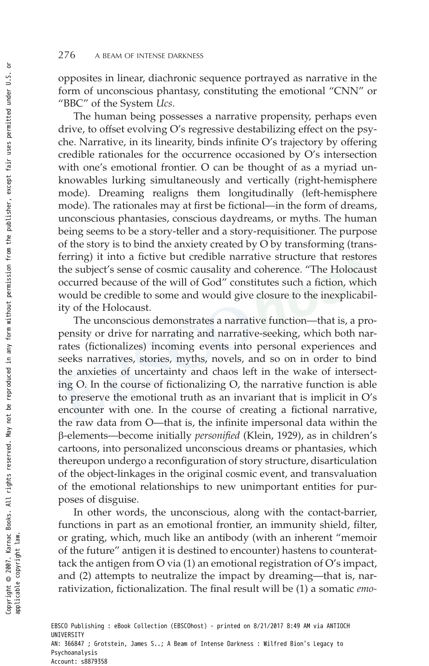opposites in linear, diachronic sequence portrayed as narrative in the form of unconscious phantasy, constituting the emotional "CNN" or "BBC" of the System *Ucs*.

The human being possesses a narrative propensity, perhaps even drive, to offset evolving O's regressive destabilizing effect on the psyche. Narrative, in its linearity, binds infinite O's trajectory by offering credible rationales for the occurrence occasioned by O's intersection with one's emotional frontier. O can be thought of as a myriad unknowables lurking simultaneously and vertically (right-hemisphere mode). Dreaming realigns them longitudinally (left-hemisphere mode). The rationales may at first be fictional—in the form of dreams, unconscious phantasies, conscious daydreams, or myths. The human being seems to be a story-teller and a story-requisitioner. The purpose of the story is to bind the anxiety created by O by transforming (transferring) it into a fictive but credible narrative structure that restores the subject's sense of cosmic causality and coherence. "The Holocaust occurred because of the will of God" constitutes such a fiction, which would be credible to some and would give closure to the inexplicability of the Holocaust.

The unconscious demonstrates a narrative function—that is, a propensity or drive for narrating and narrative-seeking, which both narrates (fictionalizes) incoming events into personal experiences and seeks narratives, stories, myths, novels, and so on in order to bind the anxieties of uncertainty and chaos left in the wake of intersecting O. In the course of fictionalizing O, the narrative function is able to preserve the emotional truth as an invariant that is implicit in O's encounter with one. In the course of creating a fictional narrative, the raw data from O—that is, the infinite impersonal data within the β-elements—become initially *personified* (Klein, 1929), as in children's cartoons, into personalized unconscious dreams or phantasies, which thereupon undergo a reconfiguration of story structure, disarticulation of the object-linkages in the original cosmic event, and transvaluation of the emotional relationships to new unimportant entities for purposes of disguise.

In other words, the unconscious, along with the contact-barrier, functions in part as an emotional frontier, an immunity shield, filter, or grating, which, much like an antibody (with an inherent "memoir of the future" antigen it is destined to encounter) hastens to counterattack the antigen from O via (1) an emotional registration of O's impact, and (2) attempts to neutralize the impact by dreaming—that is, narrativization, fictionalization. The final result will be (1) a somatic *emo-*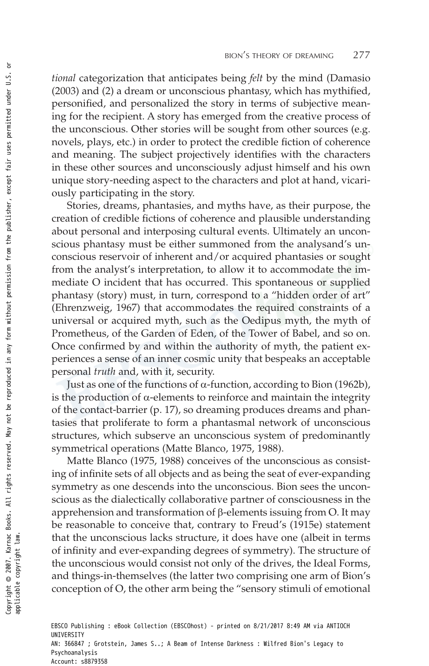*tional* categorization that anticipates being *felt* by the mind (Damasio (2003) and (2) a dream or unconscious phantasy, which has mythified, personified, and personalized the story in terms of subjective meaning for the recipient. A story has emerged from the creative process of the unconscious. Other stories will be sought from other sources (e.g. novels, plays, etc.) in order to protect the credible fiction of coherence and meaning. The subject projectively identifies with the characters in these other sources and unconsciously adjust himself and his own unique story-needing aspect to the characters and plot at hand, vicariously participating in the story.

Stories, dreams, phantasies, and myths have, as their purpose, the creation of credible fictions of coherence and plausible understanding about personal and interposing cultural events. Ultimately an unconscious phantasy must be either summoned from the analysand's unconscious reservoir of inherent and/or acquired phantasies or sought from the analyst's interpretation, to allow it to accommodate the immediate O incident that has occurred. This spontaneous or supplied phantasy (story) must, in turn, correspond to a "hidden order of art" (Ehrenzweig, 1967) that accommodates the required constraints of a universal or acquired myth, such as the Oedipus myth, the myth of Prometheus, of the Garden of Eden, of the Tower of Babel, and so on. Once confirmed by and within the authority of myth, the patient experiences a sense of an inner cosmic unity that bespeaks an acceptable personal *truth* and, with it, security.

Just as one of the functions of α-function, according to Bion (1962b), is the production of α-elements to reinforce and maintain the integrity of the contact-barrier (p. 17), so dreaming produces dreams and phantasies that proliferate to form a phantasmal network of unconscious structures, which subserve an unconscious system of predominantly symmetrical operations (Matte Blanco, 1975, 1988).

Matte Blanco (1975, 1988) conceives of the unconscious as consisting of infinite sets of all objects and as being the seat of ever-expanding symmetry as one descends into the unconscious. Bion sees the unconscious as the dialectically collaborative partner of consciousness in the apprehension and transformation of β-elements issuing from O. It may be reasonable to conceive that, contrary to Freud's (1915e) statement that the unconscious lacks structure, it does have one (albeit in terms of infinity and ever-expanding degrees of symmetry). The structure of the unconscious would consist not only of the drives, the Ideal Forms, and things-in-themselves (the latter two comprising one arm of Bion's conception of O, the other arm being the "sensory stimuli of emotional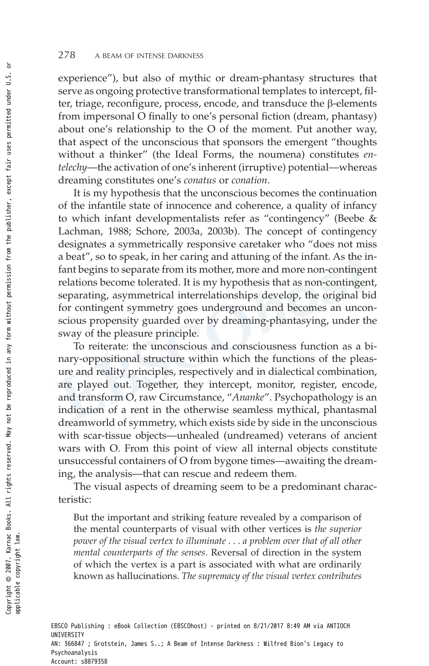experience"), but also of mythic or dream-phantasy structures that serve as ongoing protective transformational templates to intercept, filter, triage, reconfigure, process, encode, and transduce the β-elements from impersonal O finally to one's personal fiction (dream, phantasy) about one's relationship to the O of the moment. Put another way, that aspect of the unconscious that sponsors the emergent "thoughts without a thinker" (the Ideal Forms, the noumena) constitutes *entelechy*—the activation of one's inherent (irruptive) potential—whereas dreaming constitutes one's *conatus* or *conation*.

It is my hypothesis that the unconscious becomes the continuation of the infantile state of innocence and coherence, a quality of infancy to which infant developmentalists refer as "contingency" (Beebe & Lachman, 1988; Schore, 2003a, 2003b). The concept of contingency designates a symmetrically responsive caretaker who "does not miss a beat", so to speak, in her caring and attuning of the infant. As the infant begins to separate from its mother, more and more non-contingent relations become tolerated. It is my hypothesis that as non-contingent, separating, asymmetrical interrelationships develop, the original bid for contingent symmetry goes underground and becomes an unconscious propensity guarded over by dreaming-phantasying, under the sway of the pleasure principle.

To reiterate: the unconscious and consciousness function as a binary-oppositional structure within which the functions of the pleasure and reality principles, respectively and in dialectical combination, are played out. Together, they intercept, monitor, register, encode, and transform O, raw Circumstance, "*Ananke*". Psychopathology is an indication of a rent in the otherwise seamless mythical, phantasmal dreamworld of symmetry, which exists side by side in the unconscious with scar-tissue objects—unhealed (undreamed) veterans of ancient wars with O. From this point of view all internal objects constitute unsuccessful containers of O from bygone times—awaiting the dreaming, the analysis—that can rescue and redeem them.

The visual aspects of dreaming seem to be a predominant characteristic:

But the important and striking feature revealed by a comparison of the mental counterparts of visual with other vertices is *the superior power of the visual vertex to illuminate* . . . *a problem over that of all other mental counterparts of the senses*. Reversal of direction in the system of which the vertex is a part is associated with what are ordinarily known as hallucinations. *The supremacy of the visual vertex contributes*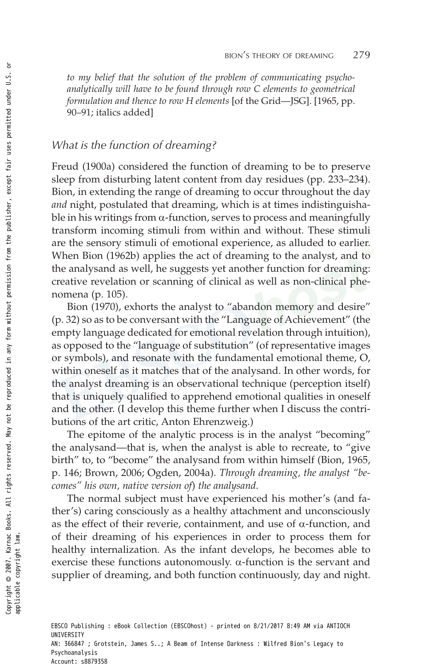*to my belief that the solution of the problem of communicating psychoanalytically will have to be found through row C elements to geometrical formulation and thence to row H elements* [of the Grid—JSG]. [1965, pp. 90–91; italics added]

## *What is the function of dreaming?*

Freud (1900a) considered the function of dreaming to be to preserve sleep from disturbing latent content from day residues (pp. 233–234). Bion, in extending the range of dreaming to occur throughout the day *and* night, postulated that dreaming, which is at times indistinguishable in his writings from  $\alpha$ -function, serves to process and meaningfully transform incoming stimuli from within and without. These stimuli are the sensory stimuli of emotional experience, as alluded to earlier. When Bion (1962b) applies the act of dreaming to the analyst, and to the analysand as well, he suggests yet another function for dreaming: creative revelation or scanning of clinical as well as non-clinical phenomena (p. 105).

Bion (1970), exhorts the analyst to "abandon memory and desire" (p. 32) so as to be conversant with the "Language of Achievement" (the empty language dedicated for emotional revelation through intuition), as opposed to the "language of substitution" (of representative images or symbols), and resonate with the fundamental emotional theme, O, within oneself as it matches that of the analysand. In other words, for the analyst dreaming is an observational technique (perception itself) that is uniquely qualified to apprehend emotional qualities in oneself and the other. (I develop this theme further when I discuss the contributions of the art critic, Anton Ehrenzweig.)

The epitome of the analytic process is in the analyst "becoming" the analysand—that is, when the analyst is able to recreate, to "give birth" to, to "become" the analysand from within himself (Bion, 1965, p. 146; Brown, 2006; Ogden, 2004a). *Through dreaming, the analyst "becomes" his own, native version of*) *the analysand.* 

The normal subject must have experienced his mother's (and father's) caring consciously as a healthy attachment and unconsciously as the effect of their reverie, containment, and use of  $\alpha$ -function, and of their dreaming of his experiences in order to process them for healthy internalization. As the infant develops, he becomes able to exercise these functions autonomously.  $\alpha$ -function is the servant and supplier of dreaming, and both function continuously, day and night.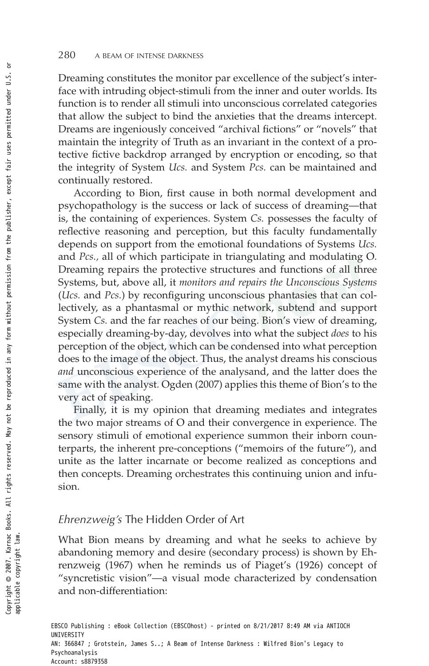Dreaming constitutes the monitor par excellence of the subject's interface with intruding object-stimuli from the inner and outer worlds. Its function is to render all stimuli into unconscious correlated categories that allow the subject to bind the anxieties that the dreams intercept. Dreams are ingeniously conceived "archival fictions" or "novels" that maintain the integrity of Truth as an invariant in the context of a protective fictive backdrop arranged by encryption or encoding, so that the integrity of System *Ucs.* and System *Pcs.* can be maintained and continually restored.

According to Bion, first cause in both normal development and psychopathology is the success or lack of success of dreaming—that is, the containing of experiences. System *Cs.* possesses the faculty of reflective reasoning and perception, but this faculty fundamentally depends on support from the emotional foundations of Systems *Ucs.*  and *Pcs.,* all of which participate in triangulating and modulating O. Dreaming repairs the protective structures and functions of all three Systems, but, above all, it *monitors and repairs the Unconscious Systems*  (*Ucs.* and *Pcs.*) by reconfiguring unconscious phantasies that can collectively, as a phantasmal or mythic network, subtend and support System *Cs.* and the far reaches of our being. Bion's view of dreaming, especially dreaming-by-day, devolves into what the subject *does* to his perception of the object, which can be condensed into what perception does to the image of the object. Thus, the analyst dreams his conscious *and* unconscious experience of the analysand, and the latter does the same with the analyst. Ogden (2007) applies this theme of Bion's to the very act of speaking.

Finally, it is my opinion that dreaming mediates and integrates the two major streams of O and their convergence in experience. The sensory stimuli of emotional experience summon their inborn counterparts, the inherent pre-conceptions ("memoirs of the future"), and unite as the latter incarnate or become realized as conceptions and then concepts. Dreaming orchestrates this continuing union and infusion.

#### *Ehrenzweig's* The Hidden Order of Art

What Bion means by dreaming and what he seeks to achieve by abandoning memory and desire (secondary process) is shown by Ehrenzweig (1967) when he reminds us of Piaget's (1926) concept of "syncretistic vision"—a visual mode characterized by condensation and non-differentiation: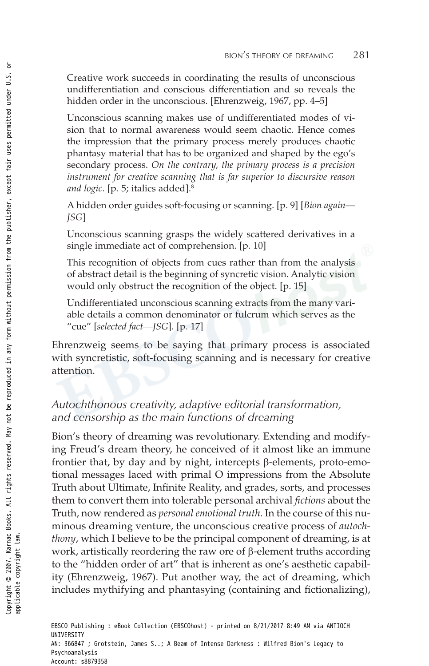Creative work succeeds in coordinating the results of unconscious undifferentiation and conscious differentiation and so reveals the hidden order in the unconscious. [Ehrenzweig, 1967, pp. 4–5]

Unconscious scanning makes use of undifferentiated modes of vision that to normal awareness would seem chaotic. Hence comes the impression that the primary process merely produces chaotic phantasy material that has to be organized and shaped by the ego's secondary process. *On the contrary, the primary process is a precision instrument for creative scanning that is far superior to discursive reason and logic*. [p. 5; italics added].8

A hidden order guides soft-focusing or scanning. [p. 9] [*Bion again— JSG*]

Unconscious scanning grasps the widely scattered derivatives in a single immediate act of comprehension. [p. 10]

This recognition of objects from cues rather than from the analysis of abstract detail is the beginning of syncretic vision. Analytic vision would only obstruct the recognition of the object. [p. 15]

Undifferentiated unconscious scanning extracts from the many variable details a common denominator or fulcrum which serves as the "cue" [*selected fact—JSG*]. [p. 17]

Ehrenzweig seems to be saying that primary process is associated with syncretistic, soft-focusing scanning and is necessary for creative attention.

# *Autochthonous creativity, adaptive editorial transformation, and censorship as the main functions of dreaming*

Bion's theory of dreaming was revolutionary. Extending and modifying Freud's dream theory, he conceived of it almost like an immune frontier that, by day and by night, intercepts β-elements, proto-emotional messages laced with primal O impressions from the Absolute Truth about Ultimate, Infinite Reality, and grades, sorts, and processes them to convert them into tolerable personal archival *fictions* about the Truth, now rendered as *personal emotional truth*. In the course of this numinous dreaming venture, the unconscious creative process of *autochthony*, which I believe to be the principal component of dreaming, is at work, artistically reordering the raw ore of β-element truths according to the "hidden order of art" that is inherent as one's aesthetic capability (Ehrenzweig, 1967). Put another way, the act of dreaming, which includes mythifying and phantasying (containing and fictionalizing),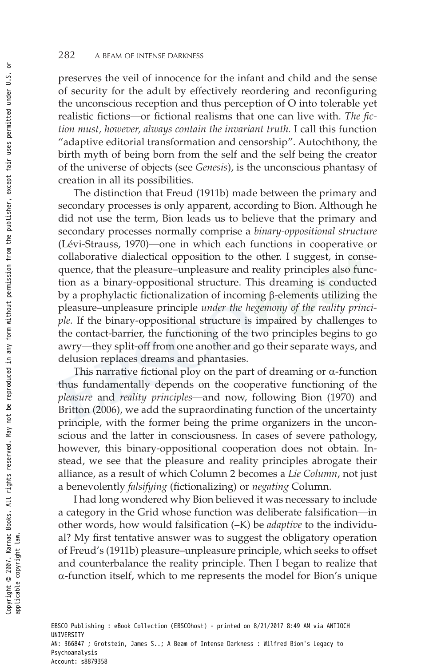preserves the veil of innocence for the infant and child and the sense of security for the adult by effectively reordering and reconfiguring the unconscious reception and thus perception of O into tolerable yet realistic fictions—or fictional realisms that one can live with. *The fiction must, however, always contain the invariant truth.* I call this function "adaptive editorial transformation and censorship". Autochthony, the birth myth of being born from the self and the self being the creator of the universe of objects (see *Genesis*), is the unconscious phantasy of creation in all its possibilities.

The distinction that Freud (1911b) made between the primary and secondary processes is only apparent, according to Bion. Although he did not use the term, Bion leads us to believe that the primary and secondary processes normally comprise a *binary-oppositional structure* (Lévi-Strauss, 1970)—one in which each functions in cooperative or collaborative dialectical opposition to the other. I suggest, in consequence, that the pleasure–unpleasure and reality principles also function as a binary-oppositional structure. This dreaming is conducted by a prophylactic fictionalization of incoming β-elements utilizing the pleasure–unpleasure principle *under the hegemony of the reality principle.* If the binary-oppositional structure is impaired by challenges to the contact-barrier, the functioning of the two principles begins to go awry—they split-off from one another and go their separate ways, and delusion replaces dreams and phantasies.

This narrative fictional ploy on the part of dreaming or  $\alpha$ -function thus fundamentally depends on the cooperative functioning of the *pleasure* and *reality principles—*and now, following Bion (1970) and Britton (2006), we add the supraordinating function of the uncertainty principle, with the former being the prime organizers in the unconscious and the latter in consciousness. In cases of severe pathology, however, this binary-oppositional cooperation does not obtain. Instead, we see that the pleasure and reality principles abrogate their alliance, as a result of which Column 2 becomes a *Lie Column*, not just a benevolently *falsifying* (fictionalizing) or *negating* Column.

I had long wondered why Bion believed it was necessary to include a category in the Grid whose function was deliberate falsification—in other words, how would falsification (–K) be *adaptive* to the individual? My first tentative answer was to suggest the obligatory operation of Freud's (1911b) pleasure–unpleasure principle, which seeks to offset and counterbalance the reality principle. Then I began to realize that α-function itself, which to me represents the model for Bion's unique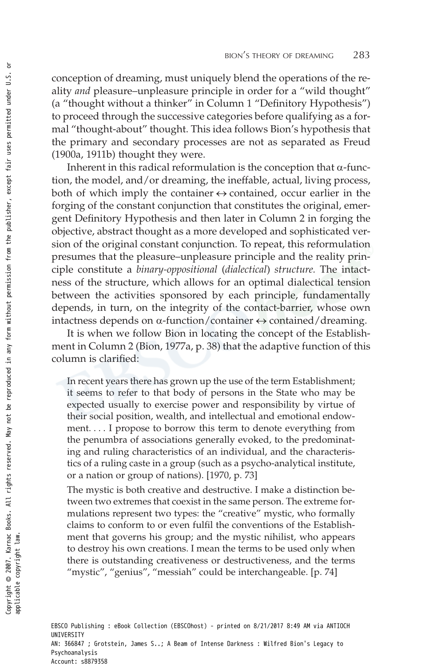conception of dreaming, must uniquely blend the operations of the reality *and* pleasure–unpleasure principle in order for a "wild thought" (a "thought without a thinker" in Column 1 "Definitory Hypothesis") to proceed through the successive categories before qualifying as a formal "thought-about" thought. This idea follows Bion's hypothesis that the primary and secondary processes are not as separated as Freud (1900a, 1911b) thought they were.

Inherent in this radical reformulation is the conception that  $\alpha$ -function, the model, and/or dreaming, the ineffable, actual, living process, both of which imply the container  $\leftrightarrow$  contained, occur earlier in the forging of the constant conjunction that constitutes the original, emergent Definitory Hypothesis and then later in Column 2 in forging the objective, abstract thought as a more developed and sophisticated version of the original constant conjunction. To repeat, this reformulation presumes that the pleasure–unpleasure principle and the reality principle constitute a *binary-oppositional* (*dialectical*) *structure.* The intactness of the structure, which allows for an optimal dialectical tension between the activities sponsored by each principle, fundamentally depends, in turn, on the integrity of the contact-barrier, whose own intactness depends on  $\alpha$ -function/container  $\leftrightarrow$  contained/dreaming.

It is when we follow Bion in locating the concept of the Establishment in Column 2 (Bion, 1977a, p. 38) that the adaptive function of this column is clarified:

In recent years there has grown up the use of the term Establishment; it seems to refer to that body of persons in the State who may be expected usually to exercise power and responsibility by virtue of their social position, wealth, and intellectual and emotional endowment. . . . I propose to borrow this term to denote everything from the penumbra of associations generally evoked, to the predominating and ruling characteristics of an individual, and the characteristics of a ruling caste in a group (such as a psycho-analytical institute, or a nation or group of nations). [1970, p. 73]

The mystic is both creative and destructive. I make a distinction between two extremes that coexist in the same person. The extreme formulations represent two types: the "creative" mystic, who formally claims to conform to or even fulfil the conventions of the Establishment that governs his group; and the mystic nihilist, who appears to destroy his own creations. I mean the terms to be used only when there is outstanding creativeness or destructiveness, and the terms "mystic", "genius", "messiah" could be interchangeable. [p. 74]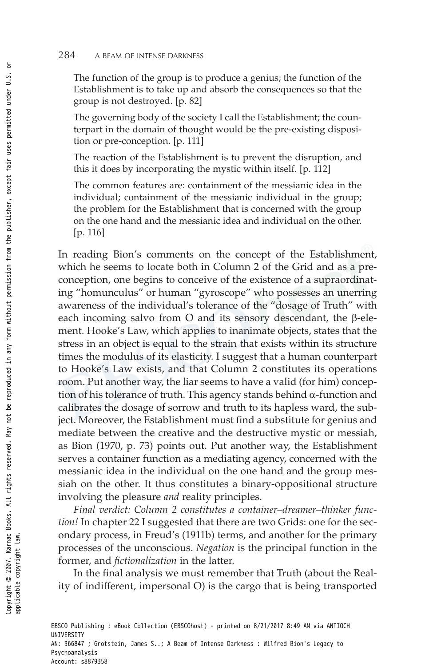The function of the group is to produce a genius; the function of the Establishment is to take up and absorb the consequences so that the group is not destroyed. [p. 82]

The governing body of the society I call the Establishment; the counterpart in the domain of thought would be the pre-existing disposition or pre-conception. [p. 111]

The reaction of the Establishment is to prevent the disruption, and this it does by incorporating the mystic within itself. [p. 112]

The common features are: containment of the messianic idea in the individual; containment of the messianic individual in the group; the problem for the Establishment that is concerned with the group on the one hand and the messianic idea and individual on the other. [p. 116]

In reading Bion's comments on the concept of the Establishment, which he seems to locate both in Column 2 of the Grid and as a preconception, one begins to conceive of the existence of a supraordinating "homunculus" or human "gyroscope" who possesses an unerring awareness of the individual's tolerance of the "dosage of Truth" with each incoming salvo from O and its sensory descendant, the β-element. Hooke's Law, which applies to inanimate objects, states that the stress in an object is equal to the strain that exists within its structure times the modulus of its elasticity. I suggest that a human counterpart to Hooke's Law exists, and that Column 2 constitutes its operations room. Put another way, the liar seems to have a valid (for him) conception of his tolerance of truth. This agency stands behind  $α$ -function and calibrates the dosage of sorrow and truth to its hapless ward, the subject. Moreover, the Establishment must find a substitute for genius and mediate between the creative and the destructive mystic or messiah, as Bion (1970, p. 73) points out. Put another way, the Establishment serves a container function as a mediating agency, concerned with the messianic idea in the individual on the one hand and the group messiah on the other. It thus constitutes a binary-oppositional structure involving the pleasure *and* reality principles.

*Final verdict: Column 2 constitutes a container–dreamer–thinker function!* In chapter 22 I suggested that there are two Grids: one for the secondary process, in Freud's (1911b) terms, and another for the primary processes of the unconscious. *Negation* is the principal function in the former, and *fictionalization* in the latter.

In the final analysis we must remember that Truth (about the Reality of indifferent, impersonal O) is the cargo that is being transported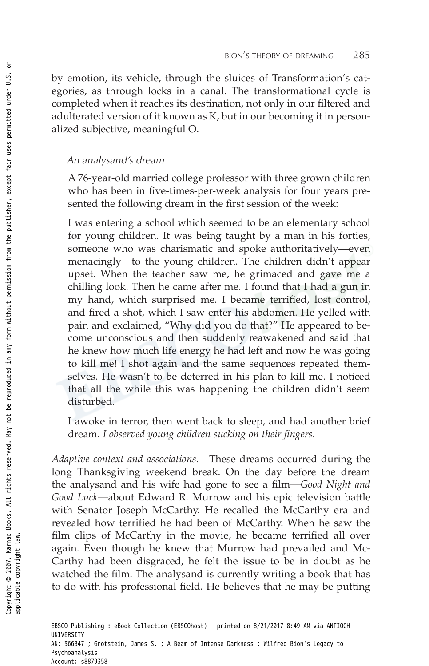by emotion, its vehicle, through the sluices of Transformation's categories, as through locks in a canal. The transformational cycle is completed when it reaches its destination, not only in our filtered and adulterated version of it known as K, but in our becoming it in personalized subjective, meaningful O.

## *An analysand's dream*

A 76-year-old married college professor with three grown children who has been in five-times-per-week analysis for four years presented the following dream in the first session of the week:

I was entering a school which seemed to be an elementary school for young children. It was being taught by a man in his forties, someone who was charismatic and spoke authoritatively—even menacingly—to the young children. The children didn't appear upset. When the teacher saw me, he grimaced and gave me a chilling look. Then he came after me. I found that I had a gun in my hand, which surprised me. I became terrified, lost control, and fired a shot, which I saw enter his abdomen. He yelled with pain and exclaimed, "Why did you do that?" He appeared to become unconscious and then suddenly reawakened and said that he knew how much life energy he had left and now he was going to kill me! I shot again and the same sequences repeated themselves. He wasn't to be deterred in his plan to kill me. I noticed that all the while this was happening the children didn't seem disturbed.

I awoke in terror, then went back to sleep, and had another brief dream. *I observed young children sucking on their fingers.*

*Adaptive context and associations.* These dreams occurred during the long Thanksgiving weekend break. On the day before the dream the analysand and his wife had gone to see a film*—Good Night and Good Luck—*about Edward R. Murrow and his epic television battle with Senator Joseph McCarthy. He recalled the McCarthy era and revealed how terrified he had been of McCarthy. When he saw the film clips of McCarthy in the movie, he became terrified all over again. Even though he knew that Murrow had prevailed and Mc-Carthy had been disgraced, he felt the issue to be in doubt as he watched the film. The analysand is currently writing a book that has to do with his professional field. He believes that he may be putting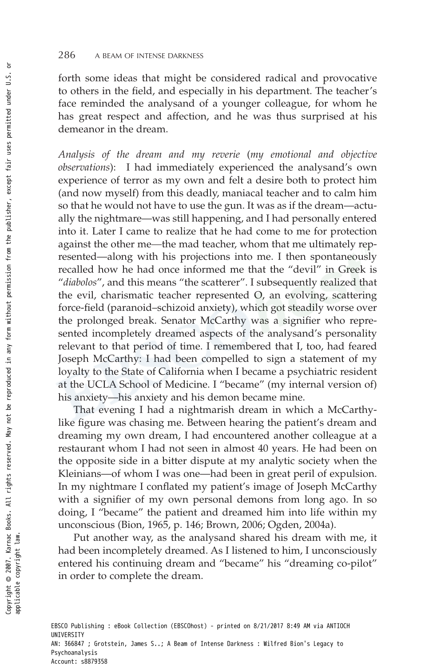forth some ideas that might be considered radical and provocative to others in the field, and especially in his department. The teacher's face reminded the analysand of a younger colleague, for whom he has great respect and affection, and he was thus surprised at his demeanor in the dream.

*Analysis of the dream and my reverie* (*my emotional and objective observations*): I had immediately experienced the analysand's own experience of terror as my own and felt a desire both to protect him (and now myself) from this deadly, maniacal teacher and to calm him so that he would not have to use the gun. It was as if the dream—actually the nightmare—was still happening, and I had personally entered into it. Later I came to realize that he had come to me for protection against the other me*—*the mad teacher, whom that me ultimately represented—along with his projections into me. I then spontaneously recalled how he had once informed me that the "devil" in Greek is "*diabolos*", and this means "the scatterer". I subsequently realized that the evil, charismatic teacher represented O, an evolving, scattering force-field (paranoid–schizoid anxiety), which got steadily worse over the prolonged break. Senator McCarthy was a signifier who represented incompletely dreamed aspects of the analysand's personality relevant to that period of time. I remembered that I, too, had feared Joseph McCarthy: I had been compelled to sign a statement of my loyalty to the State of California when I became a psychiatric resident at the UCLA School of Medicine. I "became" (my internal version of) his anxiety—his anxiety and his demon became mine.

That evening I had a nightmarish dream in which a McCarthylike figure was chasing me. Between hearing the patient's dream and dreaming my own dream, I had encountered another colleague at a restaurant whom I had not seen in almost 40 years. He had been on the opposite side in a bitter dispute at my analytic society when the Kleinians—of whom I was one—had been in great peril of expulsion. In my nightmare I conflated my patient's image of Joseph McCarthy with a signifier of my own personal demons from long ago. In so doing, I "became" the patient and dreamed him into life within my unconscious (Bion, 1965, p. 146; Brown, 2006; Ogden, 2004a).

Put another way, as the analysand shared his dream with me, it had been incompletely dreamed. As I listened to him, I unconsciously entered his continuing dream and "became" his "dreaming co-pilot" in order to complete the dream.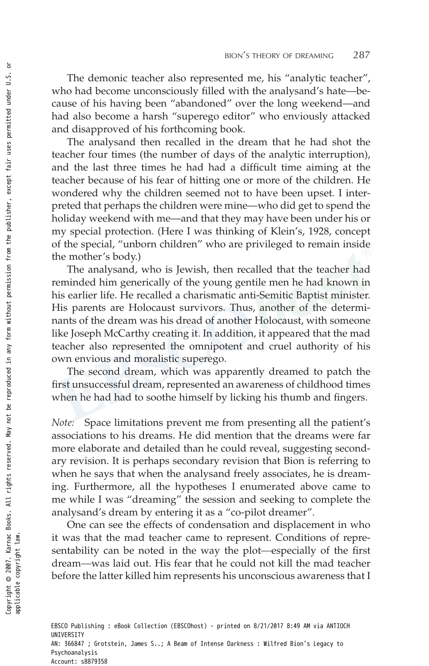The demonic teacher also represented me, his "analytic teacher", who had become unconsciously filled with the analysand's hate—because of his having been "abandoned" over the long weekend—and had also become a harsh "superego editor" who enviously attacked and disapproved of his forthcoming book.

The analysand then recalled in the dream that he had shot the teacher four times (the number of days of the analytic interruption), and the last three times he had had a difficult time aiming at the teacher because of his fear of hitting one or more of the children. He wondered why the children seemed not to have been upset. I interpreted that perhaps the children were mine—who did get to spend the holiday weekend with me—and that they may have been under his or my special protection. (Here I was thinking of Klein's, 1928, concept of the special, "unborn children" who are privileged to remain inside the mother's body.)

The analysand, who is Jewish, then recalled that the teacher had reminded him generically of the young gentile men he had known in his earlier life. He recalled a charismatic anti-Semitic Baptist minister. His parents are Holocaust survivors. Thus, another of the determinants of the dream was his dread of another Holocaust, with someone like Joseph McCarthy creating it. In addition, it appeared that the mad teacher also represented the omnipotent and cruel authority of his own envious and moralistic superego.

The second dream, which was apparently dreamed to patch the first unsuccessful dream, represented an awareness of childhood times when he had had to soothe himself by licking his thumb and fingers.

*Note:* Space limitations prevent me from presenting all the patient's associations to his dreams. He did mention that the dreams were far more elaborate and detailed than he could reveal, suggesting secondary revision. It is perhaps secondary revision that Bion is referring to when he says that when the analysand freely associates, he is dreaming. Furthermore, all the hypotheses I enumerated above came to me while I was "dreaming" the session and seeking to complete the analysand's dream by entering it as a "co-pilot dreamer".

One can see the effects of condensation and displacement in who it was that the mad teacher came to represent. Conditions of representability can be noted in the way the plot*—*especially of the first dream*—*was laid out. His fear that he could not kill the mad teacher before the latter killed him represents his unconscious awareness that I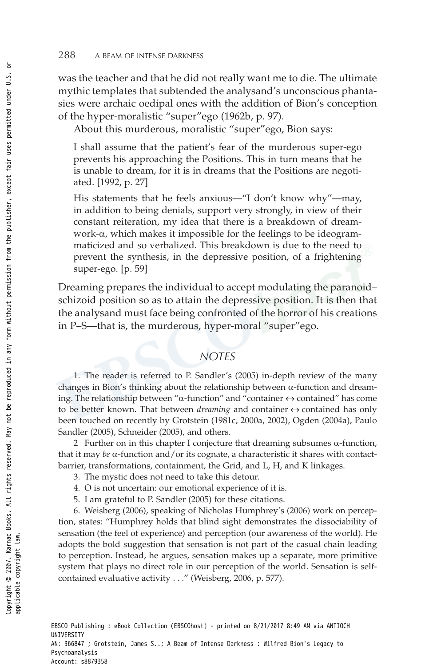was the teacher and that he did not really want me to die. The ultimate mythic templates that subtended the analysand's unconscious phantasies were archaic oedipal ones with the addition of Bion's conception of the hyper-moralistic "super"ego (1962b, p. 97).

About this murderous, moralistic "super"ego, Bion says:

I shall assume that the patient's fear of the murderous super-ego prevents his approaching the Positions. This in turn means that he is unable to dream, for it is in dreams that the Positions are negotiated. [1992, p. 27]

His statements that he feels anxious—"I don't know why"—may, in addition to being denials, support very strongly, in view of their constant reiteration, my idea that there is a breakdown of dreamwork-α, which makes it impossible for the feelings to be ideogrammaticized and so verbalized. This breakdown is due to the need to prevent the synthesis, in the depressive position, of a frightening super-ego. [p. 59]

Dreaming prepares the individual to accept modulating the paranoid– schizoid position so as to attain the depressive position. It is then that the analysand must face being confronted of the horror of his creations in P–S—that is, the murderous, hyper-moral "super"ego.

#### *NOTES*

1. The reader is referred to P. Sandler's (2005) in-depth review of the many changes in Bion's thinking about the relationship between  $\alpha$ -function and dreaming. The relationship between "α-function" and "container ↔ contained" has come to be better known. That between *dreaming* and container ↔ contained has only been touched on recently by Grotstein (1981c, 2000a, 2002), Ogden (2004a), Paulo Sandler (2005), Schneider (2005), and others.

2 Further on in this chapter I conjecture that dreaming subsumes  $\alpha$ -function, that it may *be* α-function and/or its cognate, a characteristic it shares with contactbarrier, transformations, containment, the Grid, and L, H, and K linkages.

- 3. The mystic does not need to take this detour.
- 4. O is not uncertain: our emotional experience of it is.
- 5. I am grateful to P. Sandler (2005) for these citations.

6. Weisberg (2006), speaking of Nicholas Humphrey's (2006) work on perception, states: "Humphrey holds that blind sight demonstrates the dissociability of sensation (the feel of experience) and perception (our awareness of the world). He adopts the bold suggestion that sensation is not part of the casual chain leading to perception. Instead, he argues, sensation makes up a separate, more primitive system that plays no direct role in our perception of the world. Sensation is selfcontained evaluative activity . . ." (Weisberg, 2006, p. 577).